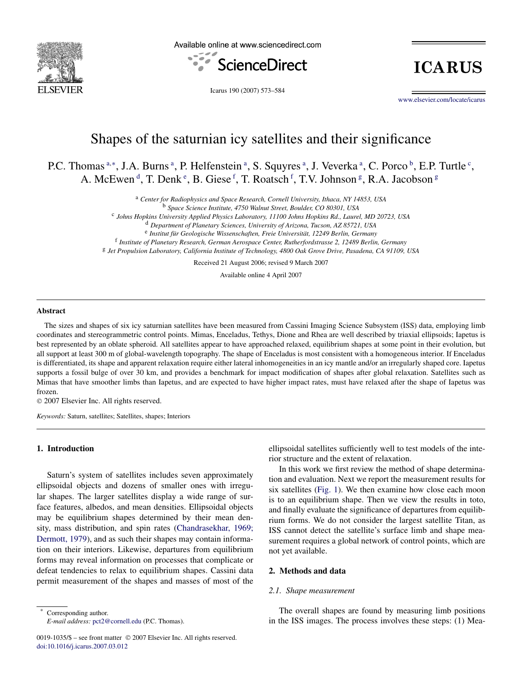

Available online at www.sciencedirect.com



**ICARUS** 

Icarus 190 (2007) 573–584

[www.elsevier.com/locate/icarus](http://www.elsevier.com/locate/icarus)

# Shapes of the saturnian icy satellites and their significance

P.C. Thomas <sup>a,∗</sup>, J.A. Burns <sup>a</sup>, P. Helfenstein <sup>a</sup>, S. Squyres <sup>a</sup>, J. Veverka <sup>a</sup>, C. Porco <sup>b</sup>, E.P. Turtle <sup>c</sup>, A. McEwen<sup>d</sup>, T. Denk<sup>e</sup>, B. Giese<sup>f</sup>, T. Roatsch<sup>f</sup>, T.V. Johnson<sup>g</sup>, R.A. Jacobson<sup>g</sup>

<sup>a</sup> *Center for Radiophysics and Space Research, Cornell University, Ithaca, NY 14853, USA*

<sup>b</sup> *Space Science Institute, 4750 Walnut Street, Boulder, CO 80301, USA*

<sup>c</sup> *Johns Hopkins University Applied Physics Laboratory, 11100 Johns Hopkins Rd., Laurel, MD 20723, USA*

<sup>d</sup> *Department of Planetary Sciences, University of Arizona, Tucson, AZ 85721, USA*

<sup>e</sup> *Institut für Geologische Wissenschaften, Freie Universität, 12249 Berlin, Germany*

<sup>f</sup> *Institute of Planetary Research, German Aerospace Center, Rutherfordstrasse 2, 12489 Berlin, Germany*

<sup>g</sup> *Jet Propulsion Laboratory, California Institute of Technology, 4800 Oak Grove Drive, Pasadena, CA 91109, USA*

Received 21 August 2006; revised 9 March 2007

Available online 4 April 2007

#### **Abstract**

The sizes and shapes of six icy saturnian satellites have been measured from Cassini Imaging Science Subsystem (ISS) data, employing limb coordinates and stereogrammetric control points. Mimas, Enceladus, Tethys, Dione and Rhea are well described by triaxial ellipsoids; Iapetus is best represented by an oblate spheroid. All satellites appear to have approached relaxed, equilibrium shapes at some point in their evolution, but all support at least 300 m of global-wavelength topography. The shape of Enceladus is most consistent with a homogeneous interior. If Enceladus is differentiated, its shape and apparent relaxation require either lateral inhomogeneities in an icy mantle and/or an irregularly shaped core. Iapetus supports a fossil bulge of over 30 km, and provides a benchmark for impact modification of shapes after global relaxation. Satellites such as Mimas that have smoother limbs than Iapetus, and are expected to have higher impact rates, must have relaxed after the shape of Iapetus was frozen.

© 2007 Elsevier Inc. All rights reserved.

*Keywords:* Saturn, satellites; Satellites, shapes; Interiors

# **1. Introduction**

Saturn's system of satellites includes seven approximately ellipsoidal objects and dozens of smaller ones with irregular shapes. The larger satellites display a wide range of surface features, albedos, and mean densities. Ellipsoidal objects may be equilibrium shapes determined by their mean density, mass distribution, and spin rates [\(Chandrasekhar, 1969;](#page-10-0) [Dermott, 1979\)](#page-10-0), and as such their shapes may contain information on their interiors. Likewise, departures from equilibrium forms may reveal information on processes that complicate or defeat tendencies to relax to equilibrium shapes. Cassini data permit measurement of the shapes and masses of most of the

Corresponding author. *E-mail address:* [pct2@cornell.edu](mailto:pct2@cornell.edu) (P.C. Thomas). ellipsoidal satellites sufficiently well to test models of the interior structure and the extent of relaxation.

In this work we first review the method of shape determination and evaluation. Next we report the measurement results for six satellites [\(Fig. 1\)](#page-1-0). We then examine how close each moon is to an equilibrium shape. Then we view the results in toto, and finally evaluate the significance of departures from equilibrium forms. We do not consider the largest satellite Titan, as ISS cannot detect the satellite's surface limb and shape measurement requires a global network of control points, which are not yet available.

## **2. Methods and data**

# *2.1. Shape measurement*

The overall shapes are found by measuring limb positions in the ISS images. The process involves these steps: (1) Mea-

<sup>0019-1035/\$ –</sup> see front matter © 2007 Elsevier Inc. All rights reserved. [doi:10.1016/j.icarus.2007.03.012](http://dx.doi.org/10.1016/j.icarus.2007.03.012)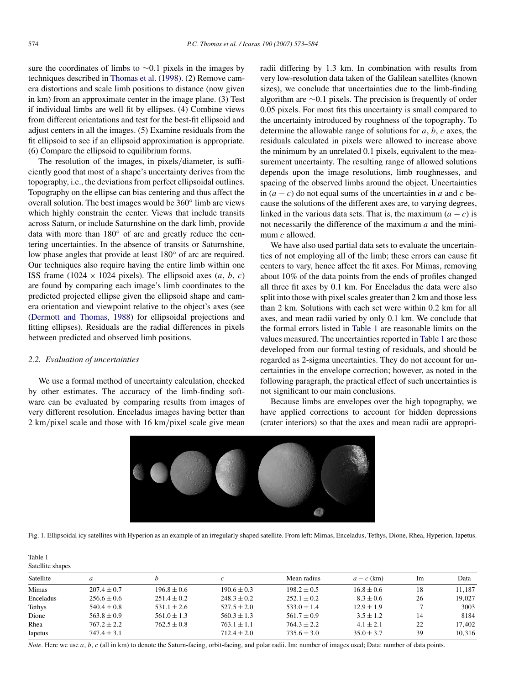<span id="page-1-0"></span>sure the coordinates of limbs to ∼0*.*1 pixels in the images by techniques described in [Thomas et al. \(1998\).](#page-11-0) (2) Remove camera distortions and scale limb positions to distance (now given in km) from an approximate center in the image plane. (3) Test if individual limbs are well fit by ellipses. (4) Combine views from different orientations and test for the best-fit ellipsoid and adjust centers in all the images. (5) Examine residuals from the fit ellipsoid to see if an ellipsoid approximation is appropriate. (6) Compare the ellipsoid to equilibrium forms.

The resolution of the images, in pixels*/*diameter, is sufficiently good that most of a shape's uncertainty derives from the topography, i.e., the deviations from perfect ellipsoidal outlines. Topography on the ellipse can bias centering and thus affect the overall solution. The best images would be 360◦ limb arc views which highly constrain the center. Views that include transits across Saturn, or include Saturnshine on the dark limb, provide data with more than 180◦ of arc and greatly reduce the centering uncertainties. In the absence of transits or Saturnshine, low phase angles that provide at least 180◦ of arc are required. Our techniques also require having the entire limb within one ISS frame (1024  $\times$  1024 pixels). The ellipsoid axes (*a*, *b*, *c*) are found by comparing each image's limb coordinates to the predicted projected ellipse given the ellipsoid shape and camera orientation and viewpoint relative to the object's axes (see [\(Dermott and Thomas, 1988\)](#page-10-0) for ellipsoidal projections and fitting ellipses). Residuals are the radial differences in pixels between predicted and observed limb positions.

# *2.2. Evaluation of uncertainties*

We use a formal method of uncertainty calculation, checked by other estimates. The accuracy of the limb-finding software can be evaluated by comparing results from images of very different resolution. Enceladus images having better than 2 km*/*pixel scale and those with 16 km*/*pixel scale give mean radii differing by 1.3 km. In combination with results from very low-resolution data taken of the Galilean satellites (known sizes), we conclude that uncertainties due to the limb-finding algorithm are ∼0*.*1 pixels. The precision is frequently of order 0.05 pixels. For most fits this uncertainty is small compared to the uncertainty introduced by roughness of the topography. To determine the allowable range of solutions for *a*, *b*, *c* axes, the residuals calculated in pixels were allowed to increase above the minimum by an unrelated 0.1 pixels, equivalent to the measurement uncertainty. The resulting range of allowed solutions depends upon the image resolutions, limb roughnesses, and spacing of the observed limbs around the object. Uncertainties in  $(a - c)$  do not equal sums of the uncertainties in *a* and *c* because the solutions of the different axes are, to varying degrees, linked in the various data sets. That is, the maximum  $(a - c)$  is not necessarily the difference of the maximum *a* and the minimum *c* allowed.

We have also used partial data sets to evaluate the uncertainties of not employing all of the limb; these errors can cause fit centers to vary, hence affect the fit axes. For Mimas, removing about 10% of the data points from the ends of profiles changed all three fit axes by 0.1 km. For Enceladus the data were also split into those with pixel scales greater than 2 km and those less than 2 km. Solutions with each set were within 0.2 km for all axes, and mean radii varied by only 0.1 km. We conclude that the formal errors listed in Table 1 are reasonable limits on the values measured. The uncertainties reported in Table 1 are those developed from our formal testing of residuals, and should be regarded as 2-sigma uncertainties. They do not account for uncertainties in the envelope correction; however, as noted in the following paragraph, the practical effect of such uncertainties is not significant to our main conclusions.

Because limbs are envelopes over the high topography, we have applied corrections to account for hidden depressions (crater interiors) so that the axes and mean radii are appropri-



Fig. 1. Ellipsoidal icy satellites with Hyperion as an example of an irregularly shaped satellite. From left: Mimas, Enceladus, Tethys, Dione, Rhea, Hyperion, Iapetus.

| Table 1          |  |
|------------------|--|
| Satellite shapes |  |

| Satellite | a               |                 |                 | Mean radius     | $a - c$ (km)   | 1m | Data   |
|-----------|-----------------|-----------------|-----------------|-----------------|----------------|----|--------|
| Mimas     | $207.4 \pm 0.7$ | $196.8 \pm 0.6$ | $190.6 \pm 0.3$ | $198.2 \pm 0.5$ | $16.8 \pm 0.6$ | 18 | 11,187 |
| Enceladus | $256.6 \pm 0.6$ | $251.4 \pm 0.2$ | $248.3 \pm 0.2$ | $252.1 \pm 0.2$ | $8.3 + 0.6$    | 26 | 19.027 |
| Tethys    | $540.4 \pm 0.8$ | $531.1 \pm 2.6$ | $527.5 \pm 2.0$ | $533.0 \pm 1.4$ | $12.9 \pm 1.9$ |    | 3003   |
| Dione     | $563.8 \pm 0.9$ | $561.0 \pm 1.3$ | $560.3 \pm 1.3$ | $561.7 \pm 0.9$ | $3.5 + 1.2$    | 14 | 8184   |
| Rhea      | $767.2 \pm 2.2$ | $762.5 \pm 0.8$ | $763.1 \pm 1.1$ | $764.3 + 2.2$   | $4.1 \pm 2.1$  | 22 | 17.402 |
| Iapetus   | $747.4 \pm 3.1$ |                 | $712.4 \pm 2.0$ | $735.6 \pm 3.0$ | $35.0 \pm 3.7$ | 39 | 10,316 |

*Note*. Here we use *a*, *b*, *c* (all in km) to denote the Saturn-facing, orbit-facing, and polar radii. Im: number of images used; Data: number of data points.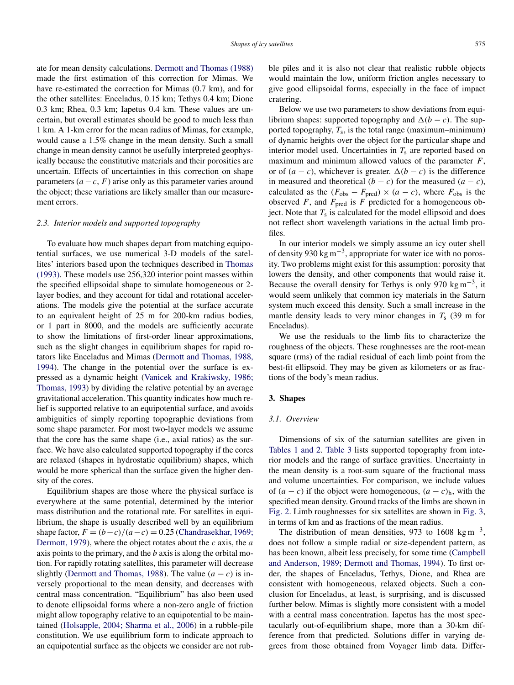1 km. A 1-km error for the mean radius of Mimas, for example, would cause a 1.5% change in the mean density. Such a small change in mean density cannot be usefully interpreted geophysically because the constitutive materials and their porosities are uncertain. Effects of uncertainties in this correction on shape parameters  $(a - c, F)$  arise only as this parameter varies around the object; these variations are likely smaller than our measurement errors.

#### *2.3. Interior models and supported topography*

To evaluate how much shapes depart from matching equipotential surfaces, we use numerical 3-D models of the satellites' interiors based upon the techniques described in [Thomas](#page-11-0) [\(1993\).](#page-11-0) These models use 256,320 interior point masses within the specified ellipsoidal shape to simulate homogeneous or 2 layer bodies, and they account for tidal and rotational accelerations. The models give the potential at the surface accurate to an equivalent height of 25 m for 200-km radius bodies, or 1 part in 8000, and the models are sufficiently accurate to show the limitations of first-order linear approximations, such as the slight changes in equilibrium shapes for rapid rotators like Enceladus and Mimas [\(Dermott and Thomas, 1988,](#page-10-0) [1994\)](#page-10-0). The change in the potential over the surface is expressed as a dynamic height [\(Vanicek and Krakiwsky, 1986;](#page-11-0) [Thomas, 1993\)](#page-11-0) by dividing the relative potential by an average gravitational acceleration. This quantity indicates how much relief is supported relative to an equipotential surface, and avoids ambiguities of simply reporting topographic deviations from some shape parameter. For most two-layer models we assume that the core has the same shape (i.e., axial ratios) as the surface. We have also calculated supported topography if the cores are relaxed (shapes in hydrostatic equilibrium) shapes, which would be more spherical than the surface given the higher density of the cores.

Equilibrium shapes are those where the physical surface is everywhere at the same potential, determined by the interior mass distribution and the rotational rate. For satellites in equilibrium, the shape is usually described well by an equilibrium shape factor,  $F = (b - c)/(a - c) = 0.25$  [\(Chandrasekhar, 1969;](#page-10-0) [Dermott, 1979\)](#page-10-0), where the object rotates about the *c* axis, the *a* axis points to the primary, and the *b* axis is along the orbital motion. For rapidly rotating satellites, this parameter will decrease slightly [\(Dermott and Thomas, 1988\)](#page-10-0). The value  $(a - c)$  is inversely proportional to the mean density, and decreases with central mass concentration. "Equilibrium" has also been used to denote ellipsoidal forms where a non-zero angle of friction might allow topography relative to an equipotential to be maintained [\(Holsapple, 2004; Sharma et al., 2006\)](#page-11-0) in a rubble-pile constitution. We use equilibrium form to indicate approach to an equipotential surface as the objects we consider are not rubble piles and it is also not clear that realistic rubble objects would maintain the low, uniform friction angles necessary to give good ellipsoidal forms, especially in the face of impact cratering.

Below we use two parameters to show deviations from equilibrium shapes: supported topography and  $\Delta(b - c)$ . The supported topography,  $T_s$ , is the total range (maximum–minimum) of dynamic heights over the object for the particular shape and interior model used. Uncertainties in  $T_s$  are reported based on maximum and minimum allowed values of the parameter *F*, or of  $(a - c)$ , whichever is greater.  $\Delta(b - c)$  is the difference in measured and theoretical  $(b - c)$  for the measured  $(a - c)$ , calculated as the  $(F_{obs} - F_{pred}) \times (a - c)$ , where  $F_{obs}$  is the observed  $F$ , and  $F_{pred}$  is  $F$  predicted for a homogeneous object. Note that  $T_s$  is calculated for the model ellipsoid and does not reflect short wavelength variations in the actual limb profiles.

In our interior models we simply assume an icy outer shell of density 930 kg m<sup>-3</sup>, appropriate for water ice with no porosity. Two problems might exist for this assumption: porosity that lowers the density, and other components that would raise it. Because the overall density for Tethys is only 970 kg m<sup>-3</sup>, it would seem unlikely that common icy materials in the Saturn system much exceed this density. Such a small increase in the mantle density leads to very minor changes in  $T_s$  (39 m for Enceladus).

We use the residuals to the limb fits to characterize the roughness of the objects. These roughnesses are the root-mean square (rms) of the radial residual of each limb point from the best-fit ellipsoid. They may be given as kilometers or as fractions of the body's mean radius.

# **3. Shapes**

### *3.1. Overview*

Dimensions of six of the saturnian satellites are given in [Tables 1 and 2.](#page-1-0) [Table 3](#page-3-0) lists supported topography from interior models and the range of surface gravities. Uncertainty in the mean density is a root-sum square of the fractional mass and volume uncertainties. For comparison, we include values of  $(a - c)$  if the object were homogeneous,  $(a - c)$ <sub>h</sub>, with the specified mean density. Ground tracks of the limbs are shown in [Fig. 2.](#page-3-0) Limb roughnesses for six satellites are shown in [Fig. 3,](#page-4-0) in terms of km and as fractions of the mean radius.

The distribution of mean densities, 973 to 1608 kg m<sup>-3</sup>, does not follow a simple radial or size-dependent pattern, as has been known, albeit less precisely, for some time [\(Campbell](#page-10-0) [and Anderson, 1989; Dermott and Thomas, 1994\)](#page-10-0). To first order, the shapes of Enceladus, Tethys, Dione, and Rhea are consistent with homogeneous, relaxed objects. Such a conclusion for Enceladus, at least, is surprising, and is discussed further below. Mimas is slightly more consistent with a model with a central mass concentration. Iapetus has the most spectacularly out-of-equilibrium shape, more than a 30-km difference from that predicted. Solutions differ in varying degrees from those obtained from Voyager limb data. Differ-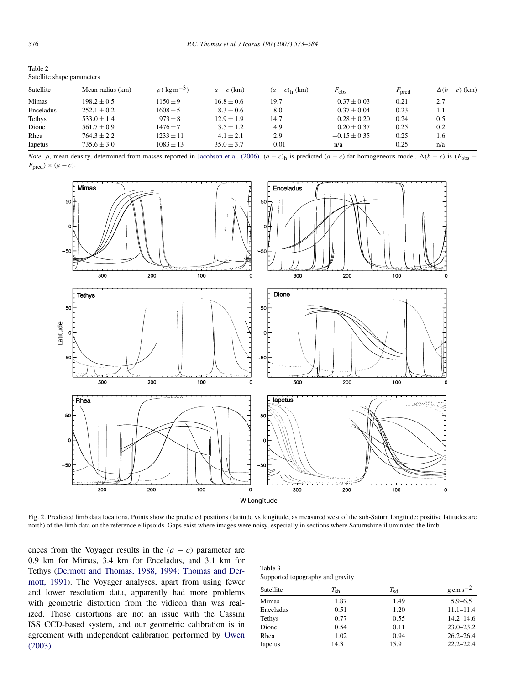<span id="page-3-0"></span>

| Table 2                    |  |
|----------------------------|--|
| Satellite shape parameters |  |

| Satellite | Mean radius (km) | $\rho$ (kgm <sup>-3</sup> ) | $a - c$ (km)   | $(a-c)$ <sub>h</sub> (km) | $F_{\rm obs}$    | $F_{\text{pred}}$ | $\Delta(b-c)$ (km) |
|-----------|------------------|-----------------------------|----------------|---------------------------|------------------|-------------------|--------------------|
| Mimas     | $198.2 \pm 0.5$  | $1150 + 9$                  | $16.8 \pm 0.6$ | 19.7                      | $0.37 \pm 0.03$  | 0.21              | 2.7                |
| Enceladus | $252.1 \pm 0.2$  | $1608 + 5$                  | $8.3 + 0.6$    | 8.0                       | $0.37 \pm 0.04$  | 0.23              | 1.1                |
| Tethys    | $533.0 \pm 1.4$  | $973 + 8$                   | $12.9 \pm 1.9$ | 14.7                      | $0.28 \pm 0.20$  | 0.24              | 0.5                |
| Dione     | $561.7 \pm 0.9$  | $1476 + 7$                  | $3.5 \pm 1.2$  | 4.9                       | $0.20 \pm 0.37$  | 0.25              | 0.2                |
| Rhea      | $764.3 \pm 2.2$  | $1233 \pm 11$               | $4.1 \pm 2.1$  | 2.9                       | $-0.15 \pm 0.35$ | 0.25              | 1.6                |
| Iapetus   | $735.6 \pm 3.0$  | $1083 \pm 13$               | $35.0 \pm 3.7$ | 0.01                      | n/a              | 0.25              | n/a                |

*Note.*  $\rho$ , mean density, determined from masses reported in [Jacobson et al. \(2006\).](#page-11-0)  $(a - c)$  is predicted  $(a - c)$  for homogeneous model.  $\Delta(b - c)$  is  $(F_{\text{obs}} - c)$  $F_{\text{pred}}$  $\times$   $(a - c)$ .



Fig. 2. Predicted limb data locations. Points show the predicted positions (latitude vs longitude, as measured west of the sub-Saturn longitude; positive latitudes are north) of the limb data on the reference ellipsoids. Gaps exist where images were noisy, especially in sections where Saturnshine illuminated the limb.

Table 3

ences from the Voyager results in the  $(a - c)$  parameter are 0.9 km for Mimas, 3.4 km for Enceladus, and 3.1 km for Tethys [\(Dermott and Thomas, 1988, 1994; Thomas and Der](#page-10-0)[mott, 1991\)](#page-10-0). The Voyager analyses, apart from using fewer and lower resolution data, apparently had more problems with geometric distortion from the vidicon than was realized. Those distortions are not an issue with the Cassini ISS CCD-based system, and our geometric calibration is in agreement with independent calibration performed by [Owen](#page-11-0) [\(2003\).](#page-11-0)

| 10010 J |                                  |  |
|---------|----------------------------------|--|
|         | Supported topography and gravity |  |

| Satellite | $T_{\rm sh}$ | $T_{\rm sd}$ | $g \, \mathrm{cm} \, \mathrm{s}^{-2}$ |
|-----------|--------------|--------------|---------------------------------------|
| Mimas     | 1.87         | 1.49         | $5.9 - 6.5$                           |
| Enceladus | 0.51         | 1.20         | $11.1 - 11.4$                         |
| Tethys    | 0.77         | 0.55         | $14.2 - 14.6$                         |
| Dione     | 0.54         | 0.11         | $23.0 - 23.2$                         |
| Rhea      | 1.02         | 0.94         | $26.2 - 26.4$                         |
| Iapetus   | 14.3         | 15.9         | $22.2 - 22.4$                         |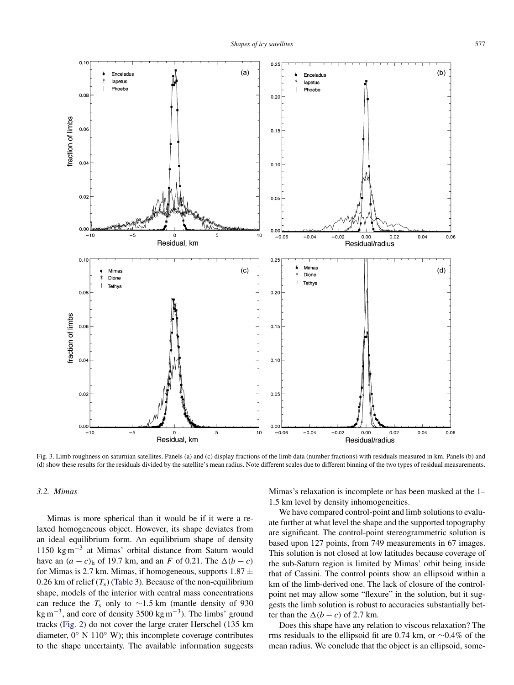<span id="page-4-0"></span>

Fig. 3. Limb roughness on saturnian satellites. Panels (a) and (c) display fractions of the limb data (number fractions) with residuals measured in km. Panels (b) and (d) show these results for the residuals divided by the satellite's mean radius. Note different scales due to different binning of the two types of residual measurements.

## *3.2. Mimas*

Mimas is more spherical than it would be if it were a relaxed homogeneous object. However, its shape deviates from an ideal equilibrium form. An equilibrium shape of density 1150 kg m−<sup>3</sup> at Mimas' orbital distance from Saturn would have an  $(a - c)$ <sub>h</sub> of 19.7 km, and an *F* of 0.21. The  $\Delta(b - c)$ for Mimas is 2.7 km. Mimas, if homogeneous, supports 1*.*87 ± 0.26 km of relief  $(T_s)$  [\(Table 3\)](#page-3-0). Because of the non-equilibrium shape, models of the interior with central mass concentrations can reduce the  $T_s$  only to ~1.5 km (mantle density of 930  $kg m<sup>-3</sup>$ , and core of density 3500 kg m<sup>-3</sup>). The limbs' ground tracks [\(Fig. 2\)](#page-3-0) do not cover the large crater Herschel (135 km diameter,  $0°$  N 110<sup>°</sup> W); this incomplete coverage contributes to the shape uncertainty. The available information suggests Mimas's relaxation is incomplete or has been masked at the 1– 1.5 km level by density inhomogeneities.

We have compared control-point and limb solutions to evaluate further at what level the shape and the supported topography are significant. The control-point stereogrammetric solution is based upon 127 points, from 749 measurements in 67 images. This solution is not closed at low latitudes because coverage of the sub-Saturn region is limited by Mimas' orbit being inside that of Cassini. The control points show an ellipsoid within a km of the limb-derived one. The lack of closure of the controlpoint net may allow some "flexure" in the solution, but it suggests the limb solution is robust to accuracies substantially better than the  $\Delta(b - c)$  of 2.7 km.

Does this shape have any relation to viscous relaxation? The rms residuals to the ellipsoid fit are 0.74 km, or ∼0.4% of the mean radius. We conclude that the object is an ellipsoid, some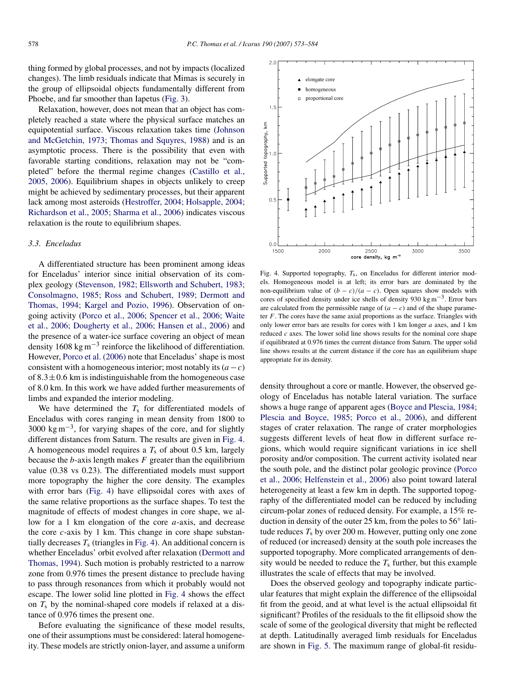<span id="page-5-0"></span>thing formed by global processes, and not by impacts (localized changes). The limb residuals indicate that Mimas is securely in the group of ellipsoidal objects fundamentally different from Phoebe, and far smoother than Iapetus [\(Fig. 3\)](#page-4-0).

Relaxation, however, does not mean that an object has completely reached a state where the physical surface matches an equipotential surface. Viscous relaxation takes time [\(Johnson](#page-11-0) [and McGetchin, 1973; Thomas and Squyres, 1988\)](#page-11-0) and is an asymptotic process. There is the possibility that even with favorable starting conditions, relaxation may not be "completed" before the thermal regime changes [\(Castillo et al.,](#page-10-0) [2005, 2006\)](#page-10-0). Equilibrium shapes in objects unlikely to creep might be achieved by sedimentary processes, but their apparent lack among most asteroids [\(Hestroffer, 2004; Holsapple, 2004;](#page-11-0) [Richardson et al., 2005; Sharma et al., 2006\)](#page-11-0) indicates viscous relaxation is the route to equilibrium shapes.

#### *3.3. Enceladus*

A differentiated structure has been prominent among ideas for Enceladus' interior since initial observation of its complex geology [\(Stevenson, 1982; Ellsworth and Schubert, 1983;](#page-11-0) [Consolmagno, 1985; Ross and Schubert, 1989; Dermott and](#page-11-0) [Thomas, 1994; Kargel and Pozio, 1996\)](#page-11-0). Observation of ongoing activity [\(Porco et al., 2006; Spencer et al., 2006; Waite](#page-11-0) [et al., 2006; Dougherty et al., 2006; Hansen et al., 2006\)](#page-11-0) and the presence of a water-ice surface covering an object of mean density 1608 kg m−<sup>3</sup> reinforce the likelihood of differentiation. However, [Porco et al. \(2006\)](#page-11-0) note that Enceladus' shape is most consistent with a homogeneous interior; most notably its  $(a-c)$ of 8*.*3±0*.*6 km is indistinguishable from the homogeneous case of 8.0 km. In this work we have added further measurements of limbs and expanded the interior modeling.

We have determined the  $T<sub>s</sub>$  for differentiated models of Enceladus with cores ranging in mean density from 1800 to 3000 kg m<sup> $-3$ </sup>, for varying shapes of the core, and for slightly different distances from Saturn. The results are given in Fig. 4. A homogeneous model requires a *T*<sup>s</sup> of about 0.5 km, largely because the *b*-axis length makes *F* greater than the equilibrium value (0.38 vs 0.23). The differentiated models must support more topography the higher the core density. The examples with error bars (Fig. 4) have ellipsoidal cores with axes of the same relative proportions as the surface shapes. To test the magnitude of effects of modest changes in core shape, we allow for a 1 km elongation of the core *a*-axis, and decrease the core *c*-axis by 1 km. This change in core shape substantially decreases  $T_s$  (triangles in Fig. 4). An additional concern is whether Enceladus' orbit evolved after relaxation [\(Dermott and](#page-10-0) [Thomas, 1994\)](#page-10-0). Such motion is probably restricted to a narrow zone from 0.976 times the present distance to preclude having to pass through resonances from which it probably would not escape. The lower solid line plotted in Fig. 4 shows the effect on *T*<sup>s</sup> by the nominal-shaped core models if relaxed at a distance of 0.976 times the present one.

Before evaluating the significance of these model results, one of their assumptions must be considered: lateral homogeneity. These models are strictly onion-layer, and assume a uniform



Fig. 4. Supported topography,  $T_s$ , on Enceladus for different interior models. Homogeneous model is at left; its error bars are dominated by the non-equilibrium value of  $(b - c)/(a - c)$ . Open squares show models with cores of specified density under ice shells of density 930 kg m<sup>-3</sup>. Error bars are calculated from the permissible range of  $(a - c)$  and of the shape parameter *F*. The cores have the same axial proportions as the surface. Triangles with only lower error bars are results for cores with 1 km longer *a* axes, and 1 km reduced  $c$  axes. The lower solid line shows results for the nominal core shape if equilibrated at 0.976 times the current distance from Saturn. The upper solid line shows results at the current distance if the core has an equilibrium shape appropriate for its density.

density throughout a core or mantle. However, the observed geology of Enceladus has notable lateral variation. The surface shows a huge range of apparent ages [\(Boyce and Plescia, 1984;](#page-10-0) [Plescia and Boyce, 1985; Porco et al., 2006\)](#page-10-0), and different stages of crater relaxation. The range of crater morphologies suggests different levels of heat flow in different surface regions, which would require significant variations in ice shell porosity and/or composition. The current activity isolated near the south pole, and the distinct polar geologic province [\(Porco](#page-11-0) [et al., 2006; Helfenstein et al., 2006\)](#page-11-0) also point toward lateral heterogeneity at least a few km in depth. The supported topography of the differentiated model can be reduced by including circum-polar zones of reduced density. For example, a 15% reduction in density of the outer 25 km, from the poles to 56◦ latitude reduces  $T<sub>s</sub>$  by over 200 m. However, putting only one zone of reduced (or increased) density at the south pole increases the supported topography. More complicated arrangements of density would be needed to reduce the  $T_s$  further, but this example illustrates the scale of effects that may be involved.

Does the observed geology and topography indicate particular features that might explain the difference of the ellipsoidal fit from the geoid, and at what level is the actual ellipsoidal fit significant? Profiles of the residuals to the fit ellipsoid show the scale of some of the geological diversity that might be reflected at depth. Latitudinally averaged limb residuals for Enceladus are shown in [Fig. 5.](#page-6-0) The maximum range of global-fit residu-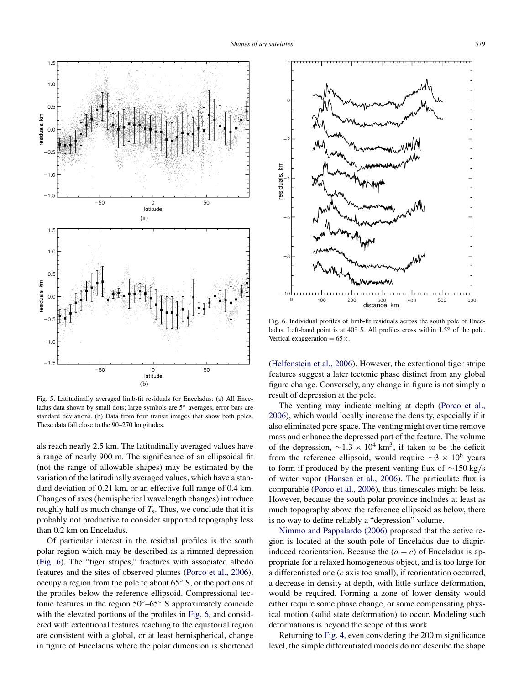<span id="page-6-0"></span>

Fig. 5. Latitudinally averaged limb-fit residuals for Enceladus. (a) All Enceladus data shown by small dots; large symbols are 5◦ averages, error bars are standard deviations. (b) Data from four transit images that show both poles. These data fall close to the 90–270 longitudes.

als reach nearly 2.5 km. The latitudinally averaged values have a range of nearly 900 m. The significance of an ellipsoidal fit (not the range of allowable shapes) may be estimated by the variation of the latitudinally averaged values, which have a standard deviation of 0.21 km, or an effective full range of 0.4 km. Changes of axes (hemispherical wavelength changes) introduce roughly half as much change of  $T_s$ . Thus, we conclude that it is probably not productive to consider supported topography less than 0.2 km on Enceladus.

Of particular interest in the residual profiles is the south polar region which may be described as a rimmed depression (Fig. 6). The "tiger stripes," fractures with associated albedo features and the sites of observed plumes [\(Porco et al., 2006\)](#page-11-0), occupy a region from the pole to about 65◦ S, or the portions of the profiles below the reference ellipsoid. Compressional tectonic features in the region 50◦–65◦ S approximately coincide with the elevated portions of the profiles in Fig. 6, and considered with extentional features reaching to the equatorial region are consistent with a global, or at least hemispherical, change in figure of Enceladus where the polar dimension is shortened



Fig. 6. Individual profiles of limb-fit residuals across the south pole of Enceladus. Left-hand point is at 40◦ S. All profiles cross within 1.5◦ of the pole. Vertical exaggeration  $= 65 \times$ .

[\(Helfenstein et al., 2006\)](#page-11-0). However, the extentional tiger stripe features suggest a later tectonic phase distinct from any global figure change. Conversely, any change in figure is not simply a result of depression at the pole.

The venting may indicate melting at depth [\(Porco et al.,](#page-11-0) [2006\)](#page-11-0), which would locally increase the density, especially if it also eliminated pore space. The venting might over time remove mass and enhance the depressed part of the feature. The volume of the depression,  $\sim$ 1.3 × 10<sup>4</sup> km<sup>3</sup>, if taken to be the deficit from the reference ellipsoid, would require  $\sim$ 3 × 10<sup>6</sup> years to form if produced by the present venting flux of ∼150 kg*/*s of water vapor [\(Hansen et al., 2006\)](#page-10-0). The particulate flux is comparable [\(Porco et al., 2006\)](#page-11-0), thus timescales might be less. However, because the south polar province includes at least as much topography above the reference ellipsoid as below, there is no way to define reliably a "depression" volume.

[Nimmo and Pappalardo \(2006\)](#page-11-0) proposed that the active region is located at the south pole of Enceladus due to diapirinduced reorientation. Because the  $(a - c)$  of Enceladus is appropriate for a relaxed homogeneous object, and is too large for a differentiated one (*c* axis too small), if reorientation occurred, a decrease in density at depth, with little surface deformation, would be required. Forming a zone of lower density would either require some phase change, or some compensating physical motion (solid state deformation) to occur. Modeling such deformations is beyond the scope of this work

Returning to [Fig. 4,](#page-5-0) even considering the 200 m significance level, the simple differentiated models do not describe the shape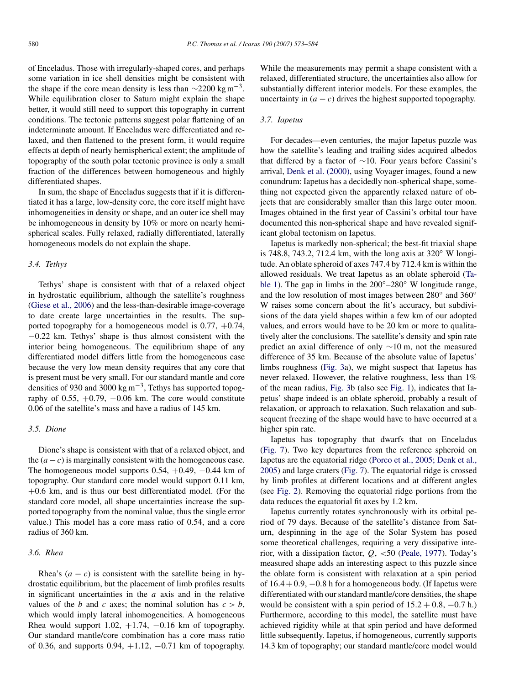of Enceladus. Those with irregularly-shaped cores, and perhaps some variation in ice shell densities might be consistent with the shape if the core mean density is less than  $\sim$ 2200 kg m<sup>-3</sup>. While equilibration closer to Saturn might explain the shape better, it would still need to support this topography in current conditions. The tectonic patterns suggest polar flattening of an indeterminate amount. If Enceladus were differentiated and relaxed, and then flattened to the present form, it would require effects at depth of nearly hemispherical extent; the amplitude of topography of the south polar tectonic province is only a small fraction of the differences between homogeneous and highly differentiated shapes.

In sum, the shape of Enceladus suggests that if it is differentiated it has a large, low-density core, the core itself might have inhomogeneities in density or shape, and an outer ice shell may be inhomogeneous in density by 10% or more on nearly hemispherical scales. Fully relaxed, radially differentiated, laterally homogeneous models do not explain the shape.

## *3.4. Tethys*

Tethys' shape is consistent with that of a relaxed object in hydrostatic equilibrium, although the satellite's roughness [\(Giese et al., 2006\)](#page-10-0) and the less-than-desirable image-coverage to date create large uncertainties in the results. The supported topography for a homogeneous model is  $0.77, +0.74,$ −0.22 km. Tethys' shape is thus almost consistent with the interior being homogeneous. The equilibrium shape of any differentiated model differs little from the homogeneous case because the very low mean density requires that any core that is present must be very small. For our standard mantle and core densities of 930 and 3000 kg m−3, Tethys has supported topography of 0.55,  $+0.79$ ,  $-0.06$  km. The core would constitute 0.06 of the satellite's mass and have a radius of 145 km.

# *3.5. Dione*

Dione's shape is consistent with that of a relaxed object, and the  $(a - c)$  is marginally consistent with the homogeneous case. The homogeneous model supports 0.54, +0.49, −0.44 km of topography. Our standard core model would support 0.11 km, +0.6 km, and is thus our best differentiated model. (For the standard core model, all shape uncertainties increase the supported topography from the nominal value, thus the single error value.) This model has a core mass ratio of 0.54, and a core radius of 360 km.

# *3.6. Rhea*

Rhea's  $(a - c)$  is consistent with the satellite being in hydrostatic equilibrium, but the placement of limb profiles results in significant uncertainties in the *a* axis and in the relative values of the *b* and *c* axes; the nominal solution has  $c > b$ , which would imply lateral inhomogeneities. A homogeneous Rhea would support 1.02,  $+1.74$ ,  $-0.16$  km of topography. Our standard mantle/core combination has a core mass ratio of 0.36, and supports 0.94,  $+1.12$ ,  $-0.71$  km of topography.

While the measurements may permit a shape consistent with a relaxed, differentiated structure, the uncertainties also allow for substantially different interior models. For these examples, the uncertainty in  $(a - c)$  drives the highest supported topography.

# *3.7. Iapetus*

For decades—even centuries, the major Iapetus puzzle was how the satellite's leading and trailing sides acquired albedos that differed by a factor of ∼10. Four years before Cassini's arrival, [Denk et al. \(2000\),](#page-10-0) using Voyager images, found a new conundrum: Iapetus has a decidedly non-spherical shape, something not expected given the apparently relaxed nature of objects that are considerably smaller than this large outer moon. Images obtained in the first year of Cassini's orbital tour have documented this non-spherical shape and have revealed significant global tectonism on Iapetus.

Iapetus is markedly non-spherical; the best-fit triaxial shape is 748.8, 743.2, 712.4 km, with the long axis at 320◦ W longitude. An oblate spheroid of axes 747.4 by 712.4 km is within the allowed residuals. We treat Iapetus as an oblate spheroid [\(Ta](#page-1-0)[ble 1\)](#page-1-0). The gap in limbs in the 200◦–280◦ W longitude range, and the low resolution of most images between 280◦ and 360◦ W raises some concern about the fit's accuracy, but subdivisions of the data yield shapes within a few km of our adopted values, and errors would have to be 20 km or more to qualitatively alter the conclusions. The satellite's density and spin rate predict an axial difference of only ∼10 m, not the measured difference of 35 km. Because of the absolute value of Iapetus' limbs roughness [\(Fig. 3a](#page-4-0)), we might suspect that Iapetus has never relaxed. However, the relative roughness, less than 1% of the mean radius, [Fig. 3b](#page-4-0) (also see [Fig. 1\)](#page-1-0), indicates that Iapetus' shape indeed is an oblate spheroid, probably a result of relaxation, or approach to relaxation. Such relaxation and subsequent freezing of the shape would have to have occurred at a higher spin rate.

Iapetus has topography that dwarfs that on Enceladus [\(Fig. 7\)](#page-8-0). Two key departures from the reference spheroid on Iapetus are the equatorial ridge [\(Porco et al., 2005; Denk et al.,](#page-11-0) [2005\)](#page-11-0) and large craters [\(Fig. 7\)](#page-8-0). The equatorial ridge is crossed by limb profiles at different locations and at different angles (see [Fig. 2\)](#page-3-0). Removing the equatorial ridge portions from the data reduces the equatorial fit axes by 1.2 km.

Iapetus currently rotates synchronously with its orbital period of 79 days. Because of the satellite's distance from Saturn, despinning in the age of the Solar System has posed some theoretical challenges, requiring a very dissipative interior, with a dissipation factor, *Q*, *<*50 [\(Peale, 1977\)](#page-11-0). Today's measured shape adds an interesting aspect to this puzzle since the oblate form is consistent with relaxation at a spin period of  $16.4 + 0.9$ ,  $-0.8$  h for a homogeneous body. (If Iapetus were differentiated with our standard mantle/core densities, the shape would be consistent with a spin period of  $15.2 + 0.8$ ,  $-0.7$  h.) Furthermore, according to this model, the satellite must have achieved rigidity while at that spin period and have deformed little subsequently. Iapetus, if homogeneous, currently supports 14.3 km of topography; our standard mantle/core model would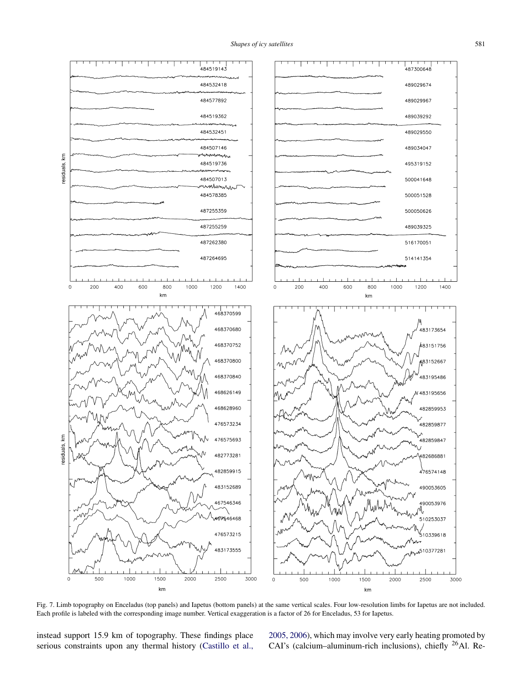<span id="page-8-0"></span>

Fig. 7. Limb topography on Enceladus (top panels) and Iapetus (bottom panels) at the same vertical scales. Four low-resolution limbs for Iapetus are not included. Each profile is labeled with the corresponding image number. Vertical exaggeration is a factor of 26 for Enceladus, 53 for Iapetus.

instead support 15.9 km of topography. These findings place serious constraints upon any thermal history [\(Castillo et al.,](#page-10-0)

[2005, 2006\)](#page-10-0), which may involve very early heating promoted by CAI's (calcium–aluminum-rich inclusions), chiefly 26Al. Re-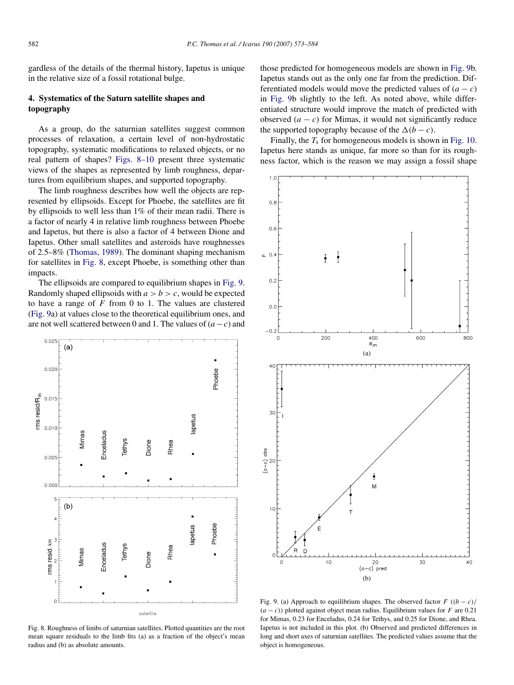gardless of the details of the thermal history, Iapetus is unique in the relative size of a fossil rotational bulge.

# **4. Systematics of the Saturn satellite shapes and topography**

As a group, do the saturnian satellites suggest common processes of relaxation, a certain level of non-hydrostatic topography, systematic modifications to relaxed objects, or no real pattern of shapes? Figs. 8–10 present three systematic views of the shapes as represented by limb roughness, departures from equilibrium shapes, and supported topography.

The limb roughness describes how well the objects are represented by ellipsoids. Except for Phoebe, the satellites are fit by ellipsoids to well less than 1% of their mean radii. There is a factor of nearly 4 in relative limb roughness between Phoebe and Iapetus, but there is also a factor of 4 between Dione and Iapetus. Other small satellites and asteroids have roughnesses of 2.5–8% [\(Thomas, 1989\)](#page-11-0). The dominant shaping mechanism for satellites in Fig. 8, except Phoebe, is something other than impacts.

The ellipsoids are compared to equilibrium shapes in Fig. 9. Randomly shaped ellipsoids with  $a > b > c$ , would be expected to have a range of *F* from 0 to 1. The values are clustered (Fig. 9a) at values close to the theoretical equilibrium ones, and are not well scattered between 0 and 1. The values of (*a*−*c*) and



Fig. 8. Roughness of limbs of saturnian satellites. Plotted quantities are the root mean square residuals to the limb fits (a) as a fraction of the object's mean radius and (b) as absolute amounts.

those predicted for homogeneous models are shown in Fig. 9b. Iapetus stands out as the only one far from the prediction. Differentiated models would move the predicted values of  $(a - c)$ in Fig. 9b slightly to the left. As noted above, while differentiated structure would improve the match of predicted with observed  $(a - c)$  for Mimas, it would not significantly reduce the supported topography because of the  $\Delta(b - c)$ .

Finally, the  $T_s$  for homogeneous models is shown in [Fig. 10.](#page-10-0) Iapetus here stands as unique, far more so than for its roughness factor, which is the reason we may assign a fossil shape



Fig. 9. (a) Approach to equilibrium shapes. The observed factor  $F((b - c)/a)$ *(a* − *c))* plotted against object mean radius. Equilibrium values for *F* are 0.21 for Mimas, 0.23 for Enceladus, 0.24 for Tethys, and 0.25 for Dione, and Rhea. Iapetus is not included in this plot. (b) Observed and predicted differences in long and short axes of saturnian satellites. The predicted values assume that the object is homogeneous.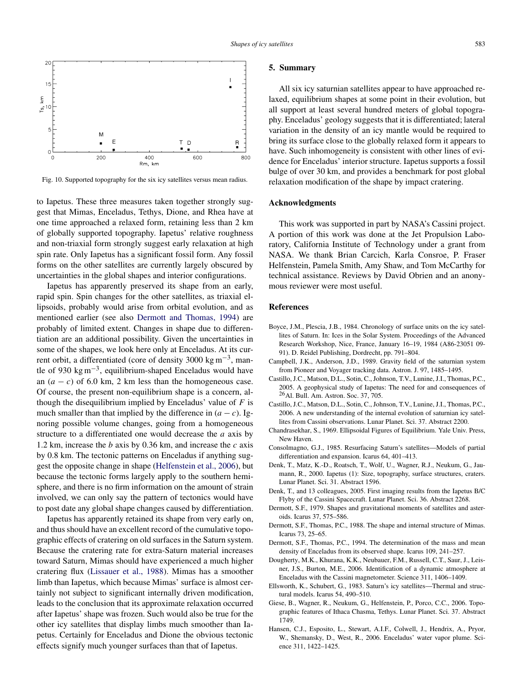<span id="page-10-0"></span>

Fig. 10. Supported topography for the six icy satellites versus mean radius.

to Iapetus. These three measures taken together strongly suggest that Mimas, Enceladus, Tethys, Dione, and Rhea have at one time approached a relaxed form, retaining less than 2 km of globally supported topography. Iapetus' relative roughness and non-triaxial form strongly suggest early relaxation at high spin rate. Only Iapetus has a significant fossil form. Any fossil forms on the other satellites are currently largely obscured by uncertainties in the global shapes and interior configurations.

Iapetus has apparently preserved its shape from an early, rapid spin. Spin changes for the other satellites, as triaxial ellipsoids, probably would arise from orbital evolution, and as mentioned earlier (see also Dermott and Thomas, 1994) are probably of limited extent. Changes in shape due to differentiation are an additional possibility. Given the uncertainties in some of the shapes, we look here only at Enceladus. At its current orbit, a differentiated (core of density 3000 kg m<sup>-3</sup>, mantle of 930 kg m<sup>-3</sup>, equilibrium-shaped Enceladus would have an  $(a - c)$  of 6.0 km, 2 km less than the homogeneous case. Of course, the present non-equilibrium shape is a concern, although the disequilibrium implied by Enceladus' value of *F* is much smaller than that implied by the difference in  $(a - c)$ . Ignoring possible volume changes, going from a homogeneous structure to a differentiated one would decrease the *a* axis by 1.2 km, increase the *b* axis by 0.36 km, and increase the *c* axis by 0.8 km. The tectonic patterns on Enceladus if anything suggest the opposite change in shape [\(Helfenstein et al., 2006\)](#page-11-0), but because the tectonic forms largely apply to the southern hemisphere, and there is no firm information on the amount of strain involved, we can only say the pattern of tectonics would have to post date any global shape changes caused by differentiation.

Iapetus has apparently retained its shape from very early on, and thus should have an excellent record of the cumulative topographic effects of cratering on old surfaces in the Saturn system. Because the cratering rate for extra-Saturn material increases toward Saturn, Mimas should have experienced a much higher cratering flux [\(Lissauer et al., 1988\)](#page-11-0). Mimas has a smoother limb than Iapetus, which because Mimas' surface is almost certainly not subject to significant internally driven modification, leads to the conclusion that its approximate relaxation occurred after Iapetus' shape was frozen. Such would also be true for the other icy satellites that display limbs much smoother than Iapetus. Certainly for Enceladus and Dione the obvious tectonic effects signify much younger surfaces than that of Iapetus.

#### **5. Summary**

All six icy saturnian satellites appear to have approached relaxed, equilibrium shapes at some point in their evolution, but all support at least several hundred meters of global topography. Enceladus' geology suggests that it is differentiated; lateral variation in the density of an icy mantle would be required to bring its surface close to the globally relaxed form it appears to have. Such inhomogeneity is consistent with other lines of evidence for Enceladus' interior structure. Iapetus supports a fossil bulge of over 30 km, and provides a benchmark for post global relaxation modification of the shape by impact cratering.

# **Acknowledgments**

This work was supported in part by NASA's Cassini project. A portion of this work was done at the Jet Propulsion Laboratory, California Institute of Technology under a grant from NASA. We thank Brian Carcich, Karla Consroe, P. Fraser Helfenstein, Pamela Smith, Amy Shaw, and Tom McCarthy for technical assistance. Reviews by David Obrien and an anonymous reviewer were most useful.

#### **References**

- Boyce, J.M., Plescia, J.B., 1984. Chronology of surface units on the icy satellites of Saturn. In: Ices in the Solar System. Proceedings of the Advanced Research Workshop, Nice, France, January 16–19, 1984 (A86-23051 09- 91). D. Reidel Publishing, Dordrecht, pp. 791–804.
- Campbell, J.K., Anderson, J.D., 1989. Gravity field of the saturnian system from Pioneer and Voyager tracking data. Astron. J. 97, 1485–1495.
- Castillo, J.C., Matson, D.L., Sotin, C., Johnson, T.V., Lunine, J.I., Thomas, P.C., 2005. A geophysical study of Iapetus: The need for and consequences of 26Al. Bull. Am. Astron. Soc. 37, 705.
- Castillo, J.C., Matson, D.L., Sotin, C., Johnson, T.V., Lunine, J.I., Thomas, P.C., 2006. A new understanding of the internal evolution of saturnian icy satellites from Cassini observations. Lunar Planet. Sci. 37. Abstract 2200.
- Chandrasekhar, S., 1969. Ellipsoidal Figures of Equilibrium. Yale Univ. Press, New Haven.
- Consolmagno, G.J., 1985. Resurfacing Saturn's satellites—Models of partial differentiation and expansion. Icarus 64, 401–413.
- Denk, T., Matz, K.-D., Roatsch, T., Wolf, U., Wagner, R.J., Neukum, G., Jaumann, R., 2000. Iapetus (1): Size, topography, surface structures, craters. Lunar Planet. Sci. 31. Abstract 1596.
- Denk, T., and 13 colleagues, 2005. First imaging results from the Iapetus B/C Flyby of the Cassini Spacecraft. Lunar Planet. Sci. 36. Abstract 2268.
- Dermott, S.F., 1979. Shapes and gravitational moments of satellites and asteroids. Icarus 37, 575–586.
- Dermott, S.F., Thomas, P.C., 1988. The shape and internal structure of Mimas. Icarus 73, 25–65.
- Dermott, S.F., Thomas, P.C., 1994. The determination of the mass and mean density of Enceladus from its observed shape. Icarus 109, 241–257.
- Dougherty, M.K., Khurana, K.K., Neubauer, F.M., Russell, C.T., Saur, J., Leisner, J.S., Burton, M.E., 2006. Identification of a dynamic atmosphere at Enceladus with the Cassini magnetometer. Science 311, 1406–1409.
- Ellsworth, K., Schubert, G., 1983. Saturn's icy satellites—Thermal and structural models. Icarus 54, 490–510.
- Giese, B., Wagner, R., Neukum, G., Helfenstein, P., Porco, C.C., 2006. Topographic features of Ithaca Chasma, Tethys. Lunar Planet. Sci. 37. Abstract 1749.
- Hansen, C.J., Esposito, L., Stewart, A.I.F., Colwell, J., Hendrix, A., Pryor, W., Shemansky, D., West, R., 2006. Enceladus' water vapor plume. Science 311, 1422–1425.